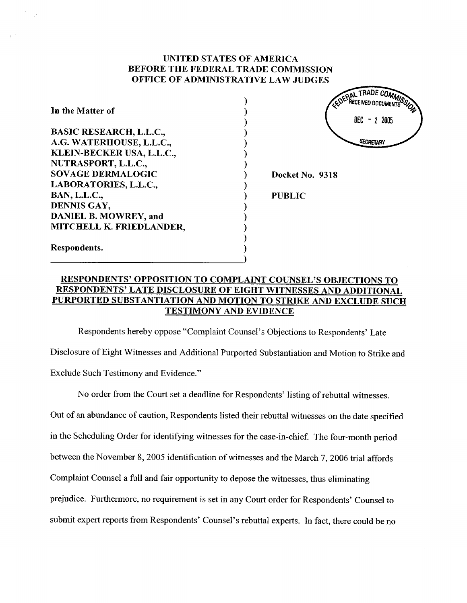# UNITED STATES OF AMERICA BEFORE THE FEDERAL TRADE COMMISSION OFFICE OF ADMINISTRATIVE LAW JUDGES

 $\mathcal{E}$ ⟩

| In the Matter of               |
|--------------------------------|
| <b>BASIC RESEARCH, L.L.C.,</b> |
| A.G. WATERHOUSE, L.L.C.,       |
| KLEIN-BECKER USA, L.L.C.,      |
| NUTRASPORT, L.L.C.,            |
| <b>SOVAGE DERMALOGIC</b>       |
| LABORATORIES, L.L.C.,          |
| <b>BAN, L.L.C.,</b>            |
| DENNIS GAY,                    |
| DANIEL B. MOWREY, and          |
| MITCHELL K. FRIEDLANDER,       |
| Respondents.                   |

AL THAUE COMM RECEIVED DOCUMENT DEC - 2 2005 **SECRETARY** 

Docket No. 9318

PUBLIC

# RESPONDENTS' OPPOSITION TO COMPLAINT COUNSEL'S OBJECTIONS TO RESPONDENTS' LATE DISCLOSURE OF EIGHT WITNESSES AND ADDITIONAL PURPORTED SUBSTANTIATION AND MOTION TO STRIKE AND EXCLUDE SUCH TESTIMONY AND EVIDENCE

Respondents hereby oppose "Complaint Counsel's Objections to Respondents' Late Disclosure of Eight Witnesses and Additional Purported Substantiation and Motion to Strike and Exclude Such Testimony and Evidence.

No order from the Court set a deadline for Respondents' listing of rebuttal witnesses. Out of an abundance of caution, Respondents listed their rebuttal witnesses on the date specified in the Scheduling Order for identifying witnesses for the case-in-chief. The four-month period between the November 8, 2005 identification of witnesses and the March 7, 2006 trial affords Complaint Counsel a full and fair opportunity to depose the witnesses, thus eliminating prejudice. Furthermore, no requirement is set in any Court order for Respondents' Counsel to submit expert reports from Respondents' Counsel's rebuttal experts. In fact, there could be no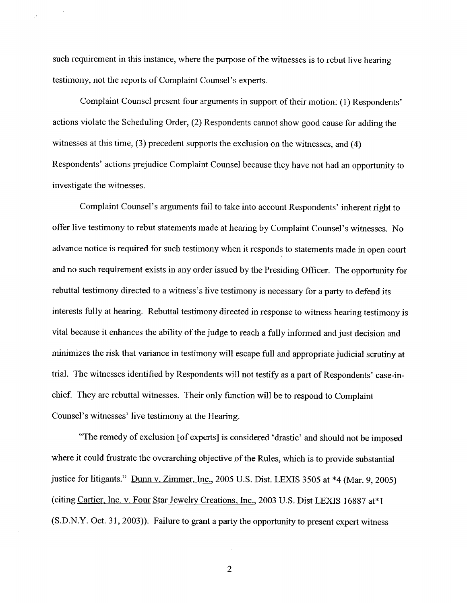such requirement in this instance, where the purpose of the witnesses is to rebut live hearing testimony, not the reports of Complaint Counsel's experts.

Complaint Counsel present four arguments in support of their motion: (1) Respondents actions violate the Scheduling Order, (2) Respondents cannot show good cause for adding the witnesses at this time, (3) precedent supports the exclusion on the witnesses, and (4) Respondents' actions prejudice Complaint Counsel because they have not had an opportunity to investigate the witnesses.

Complaint Counsel's arguments fail to take into account Respondents' inherent right to offer live testimony to rebut statements made at hearing by Complaint Counsel's witnesses. No advance notice is required for such testimony when it responds to statements made in open court and no such requirement exists in any order issued by the Presiding Officer. The opportunity for rebuttal testimony directed to a witness's live testimony is necessary for a party to defend its interests fully at hearing. Rebuttal testimony directed in response to witness hearing testimony is vital because it enhances the ability of the judge to reach a fully informed and just decision and minimizes the risk that variance in testimony will escape full and appropriate judicial scrutiny at trial. The witnesses identified by Respondents will not testify as a part of Respondents' case-inchief. They are rebuttal witnesses. Their only function will be to respond to Complaint Counsel's witnesses' live testimony at the Hearing.

The remedy of exclusion (of experts) is considered ' drastic' and should not be imposed where it could frustrate the overarching objective of the Rules, which is to provide substantial justice for litigants." Dunn v. Zimmer, Inc., 2005 U.S. Dist. LEXIS 3505 at \*4 (Mar. 9, 2005) (citing Cartier, Inc. v. Four Star Jewelry Creations, Inc., 2003 U.S. Dist LEXIS 16887 at\*1 (S.D.N.Y. Oct. 31, 2003)). Failure to grant a party the opportunity to present expert witness

 $\overline{2}$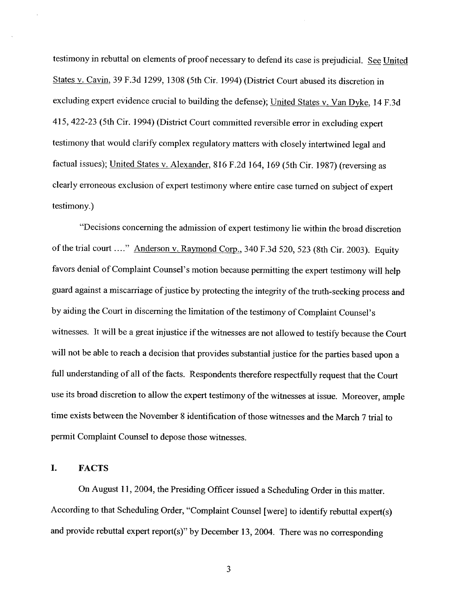testimony in rebuttal on elements of proof necessary to defend its case is prejudicial. See United States v. Cavin, 39 F.3d 1299, 1308 (5th Cir. 1994) (District Court abused its discretion in excluding expert evidence crucial to building the defense); United States v. Van Dyke, 14 F.3d 415 422-23 (5th Cir. 1994) (District Court committed reversible error in excluding expert testimony that would clarify complex regulatory matters with closely intertwined legal and factual issues); United States v. Alexander, 816 F.2d 164, 169 (5th Cir. 1987) (reversing as clearly erroneous exclusion of expert testimony where entire case turned on subject of expert testimony.

Decisions concerning the admission of expert testimony lie within the broad discretion of the trial court ...." Anderson v. Raymond Corp., 340 F.3d 520, 523 (8th Cir. 2003). Equity favors denial of Complaint Counsel's motion because permitting the expert testimony will help guard against a miscarriage of justice by protecting the integrity of the truth-seeking process and by aiding the Court in discerning the limitation of the testimony of Complaint Counsel' witnesses. It will be a great injustice if the witnesses are not allowed to testify because the Court will not be able to reach a decision that provides substantial justice for the parties based upon a full understanding of all of the facts. Respondents therefore respectfully request that the Court use its broad discretion to allow the expert testimony of the witnesses at issue. Moreover, ample time exists between the November 8 identification of those witnesses and the March 7 trial to permit Complaint Counsel to depose those witnesses.

#### $\mathbf{I}$ . FACTS

On August 11, 2004, the Presiding Officer issued a Scheduling Order in this matter. According to that Scheduling Order Complaint Counsel (were) to identify rebuttal expert(s) and provide rebuttal expert report(s)" by December 13 2004. There was no corresponding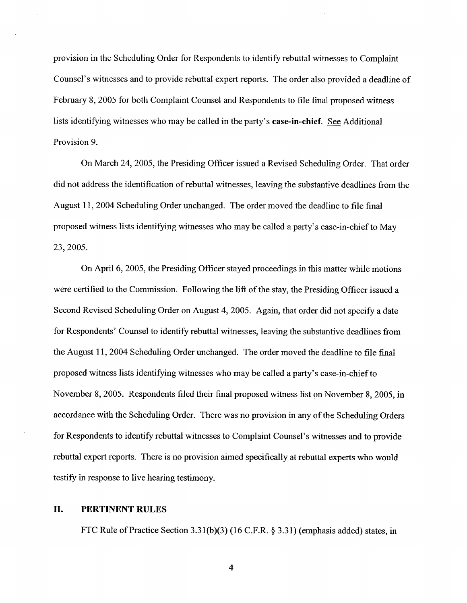provision in the Scheduling Order for Respondents to identify rebuttal witnesses to Complaint Counsel's witnesses and to provide rebuttal expert reports. The order also provided a deadline of February 8, 2005 for both Complaint Counsel and Respondents to file final proposed witness lists identifying witnesses who may be called in the party's case-in-chief. See Additional Provision 9.

On March 24, 2005, the Presiding Officer issued a Revised Scheduling Order. That order did not address the identification of rebuttal witnesses, leaving the substantive deadlines from the August 11, 2004 Scheduling Order unchanged. The order moved the deadline to file final proposed witness lists identifying witnesses who may be called a party's case-in-chief to May 23, 2005.

On April 6, 2005, the Presiding Officer stayed proceedings in this matter while motions were certified to the Commission. Following the lift of the stay, the Presiding Officer issued a Second Revised Scheduling Order on August 4, 2005. Again, that order did not specify a date for Respondents' Counsel to identify rebuttal witnesses , leaving the substantive deadlines from the August 11, 2004 Scheduling Order unchanged. The order moved the deadline to file final proposed witness lists identifying witnesses who may be called a party's case-in-chief to November 8, 2005. Respondents filed their final proposed witness list on November 8, 2005, in accordance with the Scheduling Order. There was no provision in any of the Scheduling Orders for Respondents to identify rebuttal witnesses to Complaint Counsel's witnesses and to provide rebuttal expert reports. There is no provision aimed specifically at rebuttal experts who would testify in response to live hearing testimony.

### II. PERTINENT RULES

FTC Rule of Practice Section 3.31(b)(3) (16 C.F.R.  $\S$  3.31) (emphasis added) states, in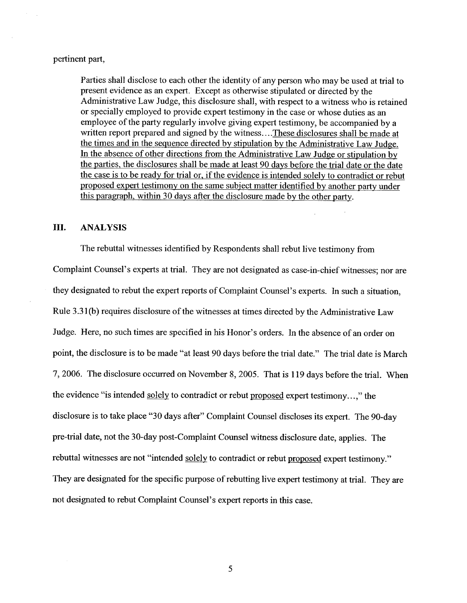## pertinent part

Parties shall disclose to each other the identity of any person who may be used at trial to present evidence as an expert. Except as otherwise stipulated or directed by the Administrative Law Judge, this disclosure shall, with respect to a witness who is retained or specially employed to provide expert testimony in the case or whose duties as an employee of the party regularly involve giving expert testimony, be accompanied by a written report prepared and signed by the witness... .These disclosures shall be made at the times and in the sequence directed by stipulation by the Administrative Law Judge. In the absence of other directions from the Administrative Law Judge or stipulation by the parties, the disclosures shall be made at least 90 days before the trial date or the date the case is to be ready for trial or, if the evidence is intended solely to contradict or rebut proposed expert testimony on the same subiect matter identified by another party under this paragraph, within 30 days after the disclosure made by the other party.

# III. ANALYSIS

The rebuttal witnesses identified by Respondents shall rebut live testimony from Complaint Counsel's experts at trial. They are not designated as case-in-chief witnesses; nor are they designated to rebut the expert reports of Complaint Counsel's experts. In such a situation, Rule 3.31 (b) requires disclosure of the witnesses at times directed by the Administrative Law Judge. Here, no such times are specified in his Honor's orders. In the absence of an order on point, the disclosure is to be made "at least 90 days before the trial date." The trial date is March 2006. The disclosure occurred on November 8, 2005. That is 119 days before the trial. When the evidence "is intended solely to contradict or rebut proposed expert testimony. . . ," the disclosure is to take place "30 days after" Complaint Counsel discloses its expert. The 90-day pre-trial date, not the 30-day post-Complaint Counsel witness disclosure date, applies. The rebuttal witnesses are not "intended solely to contradict or rebut proposed expert testimony." They are designated for the specific purpose of rebutting live expert testimony at trial. They are not designated to rebut Complaint Counsel's expert reports in this case.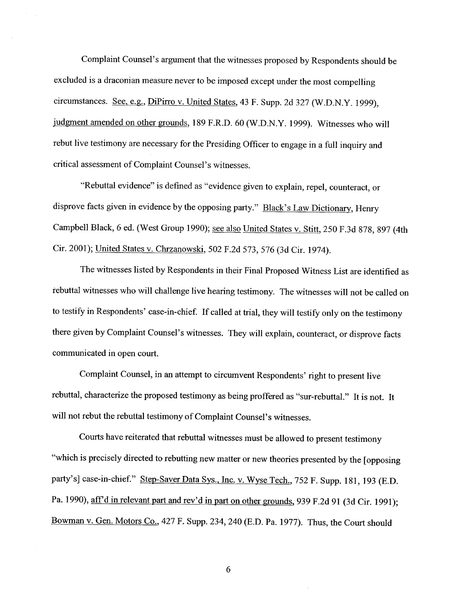Complaint Counsel's argument that the witnesses proposed by Respondents should be excluded is a draconian measure never to be imposed except under the most compelling circumstances. See, e.g., DiPirro v. United States, 43 F. Supp. 2d 327 (W.D.N.Y. 1999), judgment amended on other grounds, 189 F.R.D. 60 (W.D.N.Y. 1999). Witnesses who will rebut live testimony are necessary for the Presiding Officer to engage in a full inquiry and critical assessment of Complaint Counsel's witnesses.

Rebuttal evidence" is defined as "evidence given to explain, repel, counteract, or disprove facts given in evidence by the opposing party." Black's Law Dictionary, Henry Campbell Black, 6 ed. (West Group 1990); see also United States v. Stitt, 250 F.3d 878, 897 (4th Cir. 2001); United States v. Chrzanowski, 502 F.2d 573, 576 (3d Cir. 1974).

The witnesses listed by Respondents in their Final Proposed Witness List are identified as rebuttal witnesses who will challenge live hearing testimony. The witnesses will not be called on to testify in Respondents' case-in-chief. If called at trial, they will testify only on the testimony there given by Complaint Counsel's witnesses. They will explain, counteract, or disprove facts communicated in open court.

Complaint Counsel, in an attempt to circumvent Respondents' right to present live rebuttal, characterize the proposed testimony as being proffered as "sur-rebuttal." It is not. It will not rebut the rebuttal testimony of Complaint Counsel's witnesses.

Courts have reiterated that rebuttal witnesses must be allowed to present testimony which is precisely directed to rebutting new matter or new theories presented by the (opposing party's] case-in-chief." Step-Saver Data Sys., Inc. v. Wyse Tech., 752 F. Supp. 181, 193 (E.D. Pa. 1990), aff'd in relevant part and rev'd in part on other grounds, 939 F.2d 91 (3d Cir. 1991); Bowman v. Gen. Motors Co., 427 F. Supp. 234, 240 (E.D. Pa. 1977). Thus, the Court should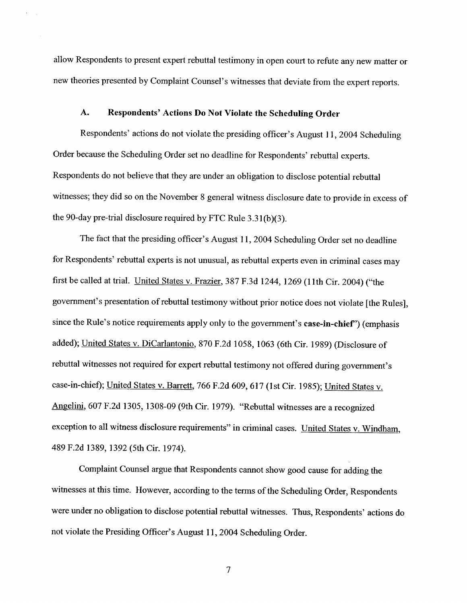allow Respondents to present expert rebuttal testimony in open court to refute any new matter or new theories presented by Complaint Counsel's witnesses that deviate from the expert reports.

#### $A.$ Respondents' Actions Do Not Violate the Scheduling Order

Respondents' actions do not violate the presiding officer's August 11, 2004 Scheduling Order because the Scheduling Order set no deadline for Respondents' rebuttal experts. Respondents do not believe that they are under an obligation to disclose potential rebuttal witnesses; they did so on the November 8 general witness disclosure date to provide in excess of the 90-day pre-trial disclosure required by FTC Rule  $3.31(b)(3)$ .

The fact that the presiding officer's August 11, 2004 Scheduling Order set no deadline for Respondents' rebuttal experts is not unusual, as rebuttal experts even in criminal cases may first be called at trial. United States v. Frazier, 387 F.3d 1244, 1269 (l1th Cir. 2004) ("the government's presentation of rebuttal testimony without prior notice does not violate [the Rules], since the Rule's notice requirements apply only to the government's case-in-chief") (emphasis added); United States v. DiCarlantonio, 870 F.2d 1058, 1063 (6th Cir. 1989) (Disclosure of rebuttal witnesses not required for expert rebuttal testimony not offered during government's case-in-chief); United States v. Barrett, 766 F.2d 609, 617 (1st Cir. 1985); United States v. Angelini, 607 F.2d 1305, 1308-09 (9th Cir. 1979). "Rebuttal witnesses are a recognized exception to all witness disclosure requirements" in criminal cases. United States v. Windham, 489 F.2d 1389, 1392 (5th Cir. 1974).

Complaint Counsel argue that Respondents canot show good cause for adding the witnesses at this time. However, according to the terms of the Scheduling Order, Respondents were under no obligation to disclose potential rebuttal witnesses. Thus, Respondents' actions do not violate the Presiding Officer's August 11, 2004 Scheduling Order.

 $\overline{7}$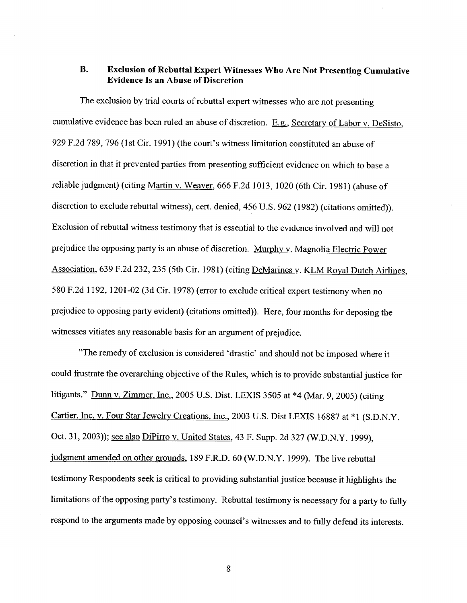### Exclusion of Rebuttal Expert Witnesses Who Are Not Presenting Cumulative **B.** Evidence Is an Abuse of Discretion

The exclusion by trial courts of rebuttal expert witnesses who are not presenting cumulative evidence has been ruled an abuse of discretion. E.g., Secretary of Labor v. DeSisto, 929 F.2d 789, 796 (1st Cir. 1991) (the court's witness limitation constituted an abuse of discretion in that it prevented parties from presenting sufficient evidence on which to base a reliable judgment) (citing Martin v. Weaver, 666 F.2d 1013, 1020 (6th Cir. 1981) (abuse of discretion to exclude rebuttal witness), cert. denied, 456 U.S. 962 (1982) (citations omitted)). Exclusion of rebuttal witness testimony that is essential to the evidence involved and wil not prejudice the opposing party is an abuse of discretion. Murphy v. Magnolia Electric Power Association, 639 F.2d 232, 235 (5th Cir. 1981) (citing DeMarines v. KLM Royal Dutch Airlines, 580 F.2d 1192, 1201-02 (3d Cir. 1978) (error to exclude critical expert testimony when no prejudice to opposing party evident) (citations omitted)). Here, four months for deposing the witnesses vitiates any reasonable basis for an argument of prejudice.

The remedy of exclusion is considered ' drastic' and should not be imposed where it could frustrate the overarching objective of the Rules, which is to provide substantial justice for litigants." Dunn v. Zimmer, Inc., 2005 U.S. Dist. LEXIS 3505 at  $*4$  (Mar. 9, 2005) (citing Cartier, Inc. v. Four Star Jewelry Creations, Inc., 2003 U.S. Dist LEXIS 16887 at \*1 (S.D.N.Y. Oct. 31, 2003)); <u>see also DiPirro v. United States, 43 F. Supp. 2d 327 (W.D.N.Y. 1999)</u>. judgment amended on other grounds, 189 F.R.D. 60 (W.D.N.Y. 1999). The live rebuttal testimony Respondents seek is critical to providing substantial justice because it highlights the limitations of the opposing party's testimony. Rebuttal testimony is necessary for a party to fully respond to the arguments made by opposing counsel's witnesses and to fully defend its interests.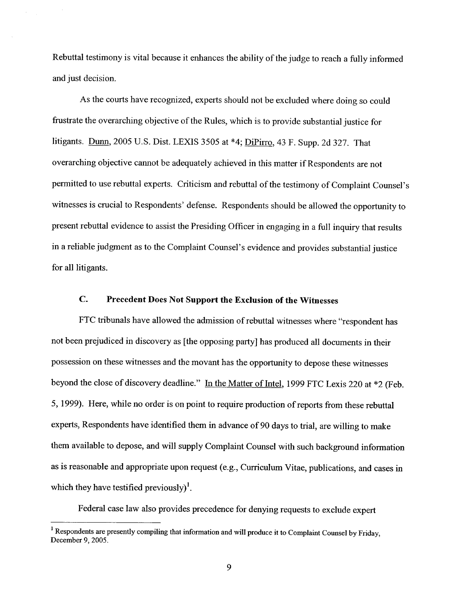Rebuttal testimony is vital because it enhances the ability of the judge to reach a fulJy informed and just decision.

As the courts have recognized, experts should not be excluded where doing so could frustrate the overarching objective of the Rules, which is to provide substantial justice for litigants. Dunn, 2005 U.S. Dist. LEXIS 3505 at \*4; DiPirro, 43 F. Supp. 2d 327. That overarching objective cannot be adequately achieved in this matter if Respondents are not permitted to use rebuttal experts. Criticism and rebuttal of the testimony of Complaint Counsel's witnesses is crucial to Respondents' defense. Respondents should be allowed the opportunity to present rebuttal evidence to assist the Presiding Officer in engaging in a full inquiry that results in a reliable judgment as to the Complaint Counsel's evidence and provides substantial justice for all litigants.

#### $\mathbf{C}$ . Precedent Does Not Support the Exclusion of the Witnesses

FTC tribunals have allowed the admission of rebuttal witnesses where "respondent has not been prejudiced in discovery as (the opposing party) has produced all documents in their possession on these witnesses and the movant has the opportunity to depose these witnesses beyond the close of discovery deadline." In the Matter of Intel, 1999 FTC Lexis 220 at \*2 (Feb. , 1999). Here, while no order is on point to require production of reports from these rebuttal experts, Respondents have identified them in advance of 90 days to trial, are willing to make them available to depose, and wilJ supply Complaint Counsel with such background information as is reasonable and appropriate upon request (e.g., Curriculum Vitae, publications, and cases in which they have testified previously)<sup>1</sup>.

Federal case law also provides precedence for denying requests to exclude expert

<sup>&</sup>lt;sup>1</sup> Respondents are presently compiling that information and will produce it to Complaint Counsel by Friday, December 9, 2005.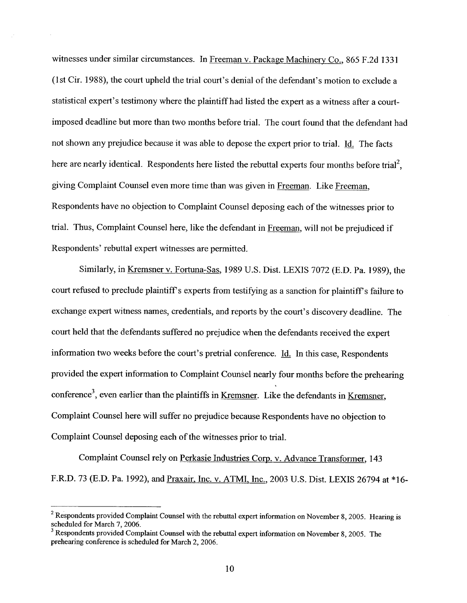witnesses under similar circumstances. In Freeman v. Package Machinery Co., 865 F.2d 1331 (1st Cir. 1988), the court upheld the trial court's denial of the defendant's motion to exclude a statistical expert's testimony where the plaintiff had listed the expert as a witness after a courtimposed deadline but more than two months before trial. The court found that the defendant had not shown any prejudice because it was able to depose the expert prior to trial. Id. The facts here are nearly identical. Respondents here listed the rebuttal experts four months before trial<sup>2</sup>. giving Complaint Counsel even more time than was given in Freeman. Like Freeman, Respondents have no objection to Complaint Counsel deposing each of the witnesses prior to trial. Thus, Complaint Counsel here, like the defendant in Freeman, will not be prejudiced if Respondents' rebuttal expert witnesses are permitted.

Similarly, in Kremsner v. Fortuna-Sas, 1989 U.S. Dist. LEXIS 7072 (E.D. Pa. 1989), the court refused to preclude plaintiff s experts from testifying as a sanction for plaintiff's failure to exchange expert witness names, credentials, and reports by the court's discovery deadline. The court held that the defendants suffered no prejudice when the defendants received the expert information two weeks before the court's pretrial conference. Id. In this case, Respondents provided the expert information to Complaint Counsel nearly four months before the prehearing conference<sup>3</sup>, even earlier than the plaintiffs in Kremsner. Like the defendants in Kremsner, Complaint Counsel here will suffer no prejudice because Respondents have no objection to Complaint Counsel deposing each of the witnesses prior to trial.

Complaint Counsel rely on Perkasie Industres Corp. v. Advance Transformer, 143 F.R.D. 73 (E.D. Pa. 1992), and Praxair, Inc. v. ATMI, Inc., 2003 U.S. Dist. LEXIS 26794 at \*16-

<sup>&</sup>lt;sup>2</sup> Respondents provided Complaint Counsel with the rebuttal expert information on November 8, 2005. Hearing is scheduled for March 7, 2006.

 $3$  Respondents provided Complaint Counsel with the rebuttal expert information on November 8, 2005. The prehearing conference is scheduled for March 2, 2006.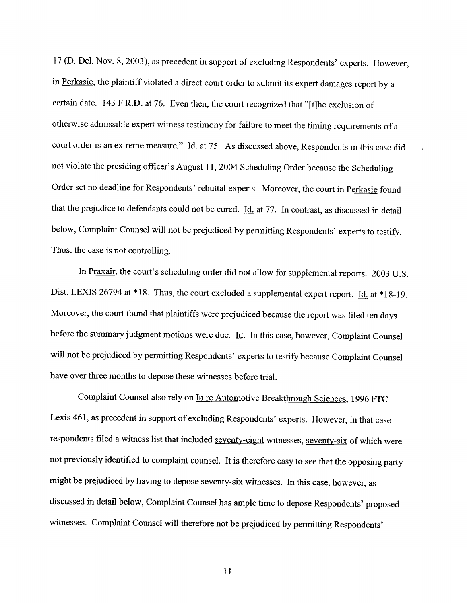17 (D. Del. Nov. 8, 2003), as precedent in support of excluding Respondents' experts. However in Perkasie, the plaintiff violated a direct court order to submit its expert damages report by a certain date. 143 F.R.D. at 76. Even then, the court recognized that "(t)he exclusion of otherwise admissible expert witness testimony for failure to meet the timing requirements of a court order is an extreme measure." Id. at 75. As discussed above, Respondents in this case did not violate the presiding officer's August 11, 2004 Scheduling Order because the Scheduling Order set no deadline for Respondents' rebuttal experts. Moreover, the court in Perkasie found that the prejudice to defendants could not be cured. Id. at 77. In contrast, as discussed in detail below, Complaint Counsel will not be prejudiced by permitting Respondents' experts to testify. Thus, the case is not controlling.

In Praxair, the court's scheduling order did not allow for supplemental reports. 2003 U.S. Dist. LEXIS 26794 at \*18. Thus, the court excluded a supplemental expert report. Id. at \*18-19. Moreover, the court found that plaintiffs were prejudiced because the report was filed ten days before the summary judgment motions were due. *Id.* In this case, however, Complaint Counsel will not be prejudiced by permitting Respondents' experts to testify because Complaint Counsel have over three months to depose these witnesses before trial.

Complaint Counsel also rely on In re Automotive Breakthrough Sciences, 1996 FTC Lexis 461, as precedent in support of excluding Respondents' experts. However, in that case respondents filed a witness list that included seventy-eight witnesses, seventy-six of which were not previously identified to complaint counsel. It is therefore easy to see that the opposing pary might be prejudiced by having to depose seventy-six witnesses. In this case, however, as discussed in detail below, Complaint Counsel has ample time to depose Respondents' proposed witnesses. Complaint Counsel will therefore not be prejudiced by permitting Respondents'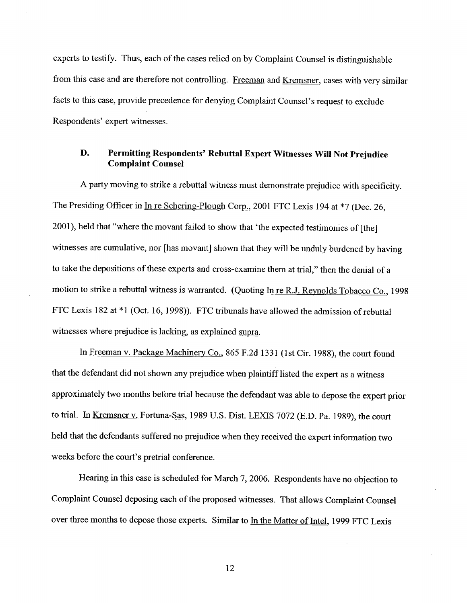experts to testify. Thus, each of the cases relied on by Complaint Counsel is distinguishable from this case and are therefore not controlling. Freeman and Kremsner, cases with very similar facts to this case, provide precedence for denying Complaint Counsel's request to exclude Respondents' expert witnesses.

### D. Permitting Respondents' Rebuttal Expert Witnesses Wil Not Prejudice Complaint Counsel

A party moving to strike a rebuttal witness must demonstrate prejudice with specificity. The Presiding Officer in In re Schering-Plough Corp., 2001 FTC Lexis 194 at \*7 (Dec. 26, 2001), held that "where the movant failed to show that ' the expected testimonies of (the) witnesses are cumulative, nor [has movant] shown that they will be unduly burdened by having to take the depositions of these experts and cross-examine them at trial," then the denial of a motion to strike a rebuttal witness is warranted. (Quoting In re R.J. Reynolds Tobacco Co., 1998 FTC Lexis 182 at \*1 (Oct. 16, 1998)). FTC tribunals have allowed the admission of rebuttal witnesses where prejudice is lacking, as explained supra

In Freeman v. Package Machinery Co., 865 F.2d 1331 (1st Cir. 1988), the court found that the defendant did not shown any prejudice when plaintiff listed the expert as a witness approximately two months before trial because the defendant was able to depose the expert prior to trial. In Kremsner v. Fortuna-Sas, 1989 U.S. Dist. LEXIS 7072 (E.D. Pa. 1989), the court held that the defendants suffered no prejudice when they received the expert information two weeks before the court's pretrial conference.

Hearing in this case is scheduled for March 7, 2006. Respondents have no objection to Complaint Counsel deposing each of the proposed witnesses. That aIJows Complaint Counsel over three months to depose those experts. Similar to In the Matter of Intel, 1999 FTC Lexis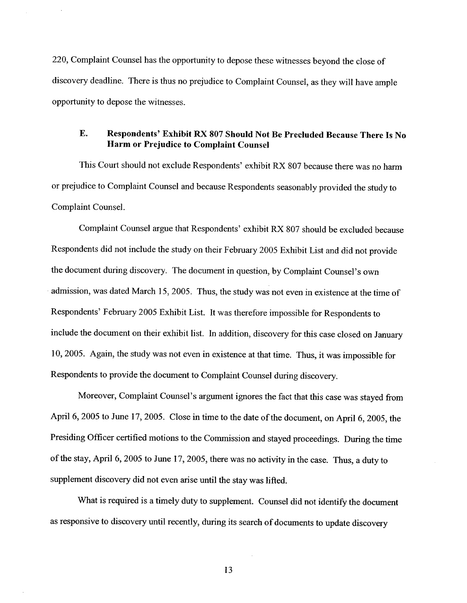220, Complaint Counsel has the opportnity to depose these witnesses beyond the close of discovery deadline. There is thus no prejudice to Complaint Counsel, as they will have ample opportunity to depose the witnesses.

### E. Respondents' Exhibit RX 807 Should Not Be Precluded Because There Is No Harm or Prejudice to Complaint Counsel

This Court should not exclude Respondents' exhibit RX 807 because there was no har or prejudice to Complaint Counsel and because Respondents seasonably provided the study to Complaint Counsel.

Complaint Counsel argue that Respondents' exhibit RX 807 should be excluded because Respondents did not include the study on their February 2005 Exhibit List and did not provide the document during discovery. The document in question, by Complaint Counsel's own admission, was dated March 15, 2005. Thus, the study was not even in existence at the time of Respondents' February 2005 Exhibit List. It was therefore impossible for Respondents to include the document on their exhibit list. In addition, discovery for this case closed on Januar , 2005. Again, the study was not even in existence at that time. Thus, it was impossible for Respondents to provide the document to Complaint Counsel during discovery.

Moreover, Complaint Counsel's argument ignores the fact that this case was stayed from April 6, 2005 to June 17, 2005. Close in time to the date of the document, on April 6, 2005, the Presiding Officer certified motions to the Commission and stayed proceedings. During the time of the stay, April 6, 2005 to June 17, 2005, there was no activity in the case. Thus, a duty to supplement discovery did not even arise until the stay was lifted.

What is required is a timely duty to supplement. Counsel did not identify the document as responsive to discovery until recently, during its search of documents to update discovery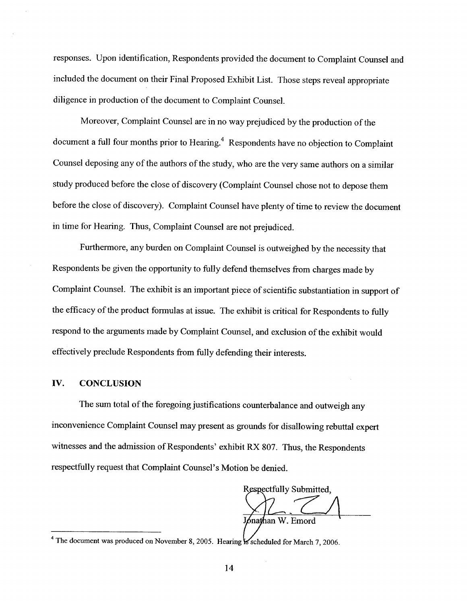responses. Upon identification, Respondents provided the document to Complaint Counsel and included the document on their Final Proposed Exhibit List. Those steps reveal appropriate diligence in production of the document to Complaint Counsel.

Moreover, Complaint Counsel are in no way prejudiced by the production of the document a full four months prior to Hearing.<sup>4</sup> Respondents have no objection to Complaint Counsel deposing any of the authors of the study, who are the very same authors on a similar study produced before the close of discovery (Complaint Counsel chose not to depose them before the close of discovery). Complaint Counsel have plenty of time to review the document in time for Hearing. Thus, Complaint Counsel are not prejudiced.

Furthermore, any burden on Complaint Counsel is outweighed by the necessity that Respondents be given the opportunity to fully defend themselves from charges made by Complaint Counsel. The exhibit is an important piece of scientific substantiation in support of the efficacy of the product formulas at issue. The exhibit is critical for Respondents to fully respond to the arguments made by Complaint Counsel, and exclusion of the exhibit would effectively preclude Respondents from fuIJy defending their interests.

## IV. CONCLUSION

The sum total of the foregoing justifications counterbalance and outweigh any inconvenience Complaint Counsel may present as grounds for disallowing rebuttal expert witnesses and the admission of Respondents' exhibit RX 807. Thus, the Respondents respectfully request that Complaint Counsel's Motion be denied.

Respectfully Submitted, Jónathan W. Emord

<sup>&</sup>lt;sup>4</sup> The document was produced on November 8, 2005. Hearing  $\mathbf k$  scheduled for March 7, 2006.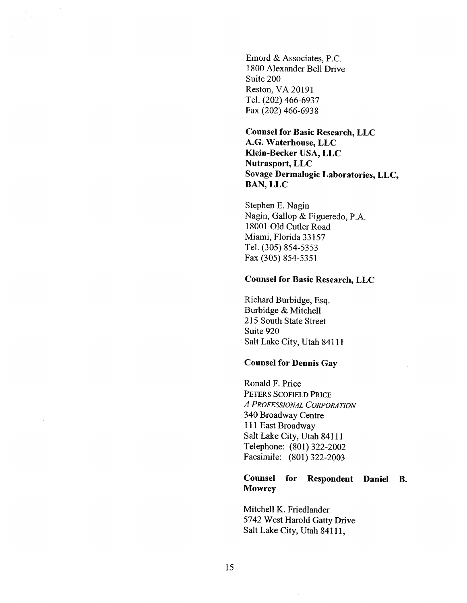Emord & Associates, P. 1800 Alexander Bell Drive Suite 200 Reston, VA 20191 Tel. (202) 466-6937 Fax (202) 466-6938

Counsel for Basic Research, LLC A.G. Waterhouse, LLC Klein-Becker USA, LLC Nutrasport, LLC Sovage Dermalogic Laboratories, LLC BAN, LLC

Stephen E. Nagin Nagin, Gallop & Figueredo, P.A. 18001 Old Cutler Road Miami, Florida 33157 Tel. (305) 854-5353 Fax (305) 854-5351

### Counsel for Basic Research, LLC

Richard Burbidge, Esq. Burbidge & Mitchell 215 South State Street Suite 920 Salt Lake City, Utah 84111

## Counsel for Dennis Gay

Ronald F. Price PETERS SCOFIELD PRICE A PROFESSIONAL CORPORATION 340 Broadway Centre 111 East Broadway Salt Lake City, Utah 84111 Telephone: (801) 322-2002 Facsimile: (801) 322-2003

#### Counsel **Mowrey** for Respondent Daniel

Mitchell K. Friedlander 5742 West Harold Gatty Drive Salt Lake City, Utah 84111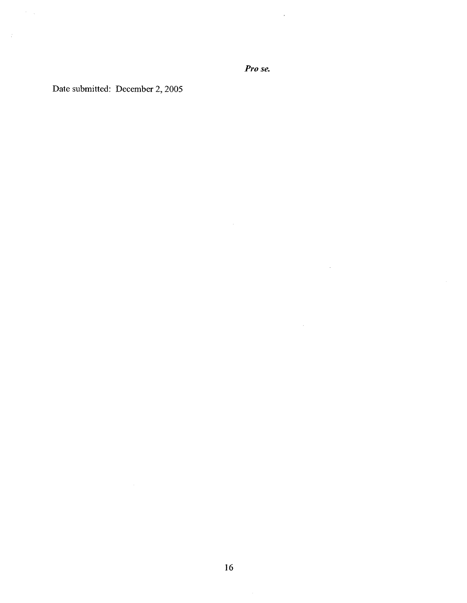Pro se.

 $\sim 5\%$ 

 $\sim$ 

 $\sim 10^{-11}$ 

 $\Delta \sim$ 

Date submitted: December 2, 2005

 $\frac{1}{2} \sum_{i=1}^{n} \frac{1}{2} \sum_{j=1}^{n} \frac{1}{2} \sum_{j=1}^{n} \frac{1}{2} \sum_{j=1}^{n} \frac{1}{2} \sum_{j=1}^{n} \frac{1}{2} \sum_{j=1}^{n} \frac{1}{2} \sum_{j=1}^{n} \frac{1}{2} \sum_{j=1}^{n} \frac{1}{2} \sum_{j=1}^{n} \frac{1}{2} \sum_{j=1}^{n} \frac{1}{2} \sum_{j=1}^{n} \frac{1}{2} \sum_{j=1}^{n} \frac{1}{2} \sum_{j=1}^{n$ 

 $\frac{1}{2}$  ,  $\frac{1}{2}$  ,  $\frac{1}{2}$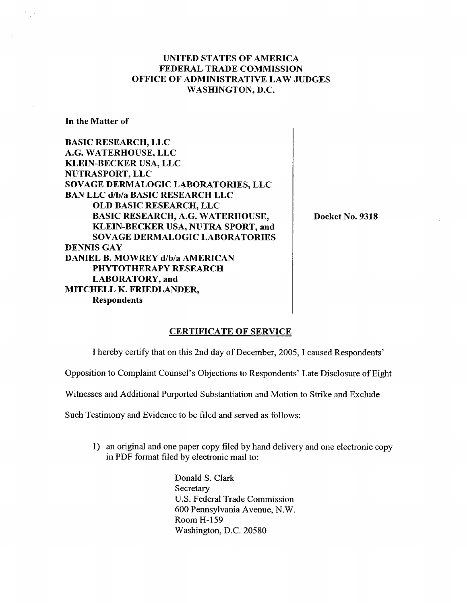# UNITED STATES OF AMERICA FEDERAL TRADE COMMISSION OFFICE OF ADMINISTRATIVE LAW JUDGES WASHINGTON, D.

In the Matter of

BASIC RESEARCH, LLC G. WATERHOUSE, LLC KLEIN-BECKER USA, LLC NUTRASPORT, LLC SOVAGE DERMALOGIC LABORATORIES, LLC BAN LLC d/b/a BASIC RESEARCH LLC OLD BASIC RESEARCH, LLC BASIC RESEARCH, A.G. WATERHOUSE KLEIN-BECKER USA, NUTRA SPORT, and SOVAGE DERMALOGIC LABORATORIES DENNIS GAY DANIEL B. MOWREY d/b/a AMERICAN PHYTOTHERAPY RESEARCH LABORATORY, and MITCHELL K. FRIEDLANDER Respondents

Docket No. 9318

### CERTIFICATE OF SERVICE

I hereby certify that on this 2nd day of December, 2005, I caused Respondents

Opposition to Complaint Counsel's Objections to Respondents ' Late Disclosure of Eight

Witnesses and Additional Purported Substantiation and Motion to Strike and Exclude

Such Testimony and Evidence to be filed and served as foJIows:

1) an original and one paper copy filed by hand delivery and one electronic copy in PDF format fied by electronic mail to:

> Donald S. Clark Secretary U.S. Federal Trade Commission 600 Pennsylvania Avenue, N. Room H-159 Washington, D.C. 20580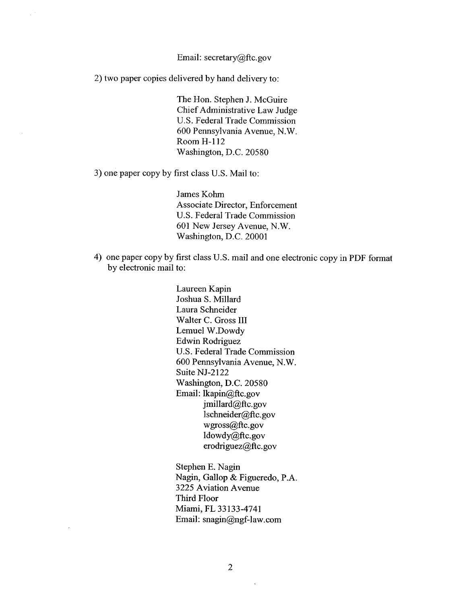### Email: secretary@ftc.gov

2) two paper copies delivered by hand delivery to:

 $\sim$ 

The Hon. Stephen J. McGuire Chief Administrative Law Judge U.S. Federal Trade Commission 600 Pennsylvania Avenue, N. Room H-112 Washington, D.C. 20580

3) one paper copy by first class U.S. Mail to:

James Kohm Associate Director, Enforcement U.S. Federal Trade Commission 601 New Jersey Avenue, N. Washington, D.C. 20001

4) one paper copy by first class U.S. mail and one electronic copy in PDF format by electronic mail to:

> Laureen Kapin Joshua S. Milard Laura Schneider Walter C. Gross III Lemuel W.Dowdy Edwin Rodriguez U.S. Federal Trade Commission 600 Pennsylvania Avenue, N. Suite NJ-2122 Washington, D.C. 20580 Email: lkapin@ftc.gov jmillard@ftc.gov lschneider@ftc.gov wgross@ftc.gov ldowdy@ftc.gov  $erodriquez@ftc.gov$

Stephen E. Nagin Nagin, Gallop & Figueredo, P. 3225 Aviation Avenue Third Floor Miami, FL 33133-4741 Email: snagin@ngf-law.com